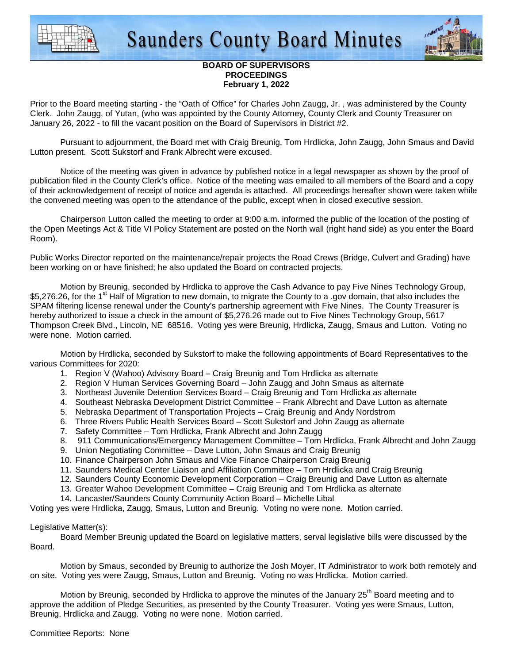



## **BOARD OF SUPERVISORS PROCEEDINGS February 1, 2022**

Prior to the Board meeting starting - the "Oath of Office" for Charles John Zaugg, Jr. , was administered by the County Clerk. John Zaugg, of Yutan, (who was appointed by the County Attorney, County Clerk and County Treasurer on January 26, 2022 - to fill the vacant position on the Board of Supervisors in District #2.

 Pursuant to adjournment, the Board met with Craig Breunig, Tom Hrdlicka, John Zaugg, John Smaus and David Lutton present. Scott Sukstorf and Frank Albrecht were excused.

 Notice of the meeting was given in advance by published notice in a legal newspaper as shown by the proof of publication filed in the County Clerk's office. Notice of the meeting was emailed to all members of the Board and a copy of their acknowledgement of receipt of notice and agenda is attached. All proceedings hereafter shown were taken while the convened meeting was open to the attendance of the public, except when in closed executive session.

 Chairperson Lutton called the meeting to order at 9:00 a.m. informed the public of the location of the posting of the Open Meetings Act & Title VI Policy Statement are posted on the North wall (right hand side) as you enter the Board Room).

Public Works Director reported on the maintenance/repair projects the Road Crews (Bridge, Culvert and Grading) have been working on or have finished; he also updated the Board on contracted projects.

Motion by Breunig, seconded by Hrdlicka to approve the Cash Advance to pay Five Nines Technology Group, \$5,276.26, for the 1<sup>st</sup> Half of Migration to new domain, to migrate the County to a .gov domain, that also includes the SPAM filtering license renewal under the County's partnership agreement with Five Nines. The County Treasurer is hereby authorized to issue a check in the amount of \$5,276.26 made out to Five Nines Technology Group, 5617 Thompson Creek Blvd., Lincoln, NE 68516. Voting yes were Breunig, Hrdlicka, Zaugg, Smaus and Lutton. Voting no were none. Motion carried.

 Motion by Hrdlicka, seconded by Sukstorf to make the following appointments of Board Representatives to the various Committees for 2020:

- 1. Region V (Wahoo) Advisory Board Craig Breunig and Tom Hrdlicka as alternate
- 2. Region V Human Services Governing Board John Zaugg and John Smaus as alternate
- 3. Northeast Juvenile Detention Services Board Craig Breunig and Tom Hrdlicka as alternate
- 4. Southeast Nebraska Development District Committee Frank Albrecht and Dave Lutton as alternate
- 5. Nebraska Department of Transportation Projects Craig Breunig and Andy Nordstrom
- 6. Three Rivers Public Health Services Board Scott Sukstorf and John Zaugg as alternate
- 7. Safety Committee Tom Hrdlicka, Frank Albrecht and John Zaugg
- 8. 911 Communications/Emergency Management Committee Tom Hrdlicka, Frank Albrecht and John Zaugg
- 9. Union Negotiating Committee Dave Lutton, John Smaus and Craig Breunig
- 10. Finance Chairperson John Smaus and Vice Finance Chairperson Craig Breunig
- 11. Saunders Medical Center Liaison and Affiliation Committee Tom Hrdlicka and Craig Breunig
- 12. Saunders County Economic Development Corporation Craig Breunig and Dave Lutton as alternate
- 13. Greater Wahoo Development Committee Craig Breunig and Tom Hrdlicka as alternate
- 14. Lancaster/Saunders County Community Action Board Michelle Libal

Voting yes were Hrdlicka, Zaugg, Smaus, Lutton and Breunig. Voting no were none. Motion carried.

### Legislative Matter(s):

 Board Member Breunig updated the Board on legislative matters, serval legislative bills were discussed by the **Board** 

 Motion by Smaus, seconded by Breunig to authorize the Josh Moyer, IT Administrator to work both remotely and on site. Voting yes were Zaugg, Smaus, Lutton and Breunig. Voting no was Hrdlicka. Motion carried.

Motion by Breunig, seconded by Hrdlicka to approve the minutes of the January 25<sup>th</sup> Board meeting and to approve the addition of Pledge Securities, as presented by the County Treasurer. Voting yes were Smaus, Lutton, Breunig, Hrdlicka and Zaugg. Voting no were none. Motion carried.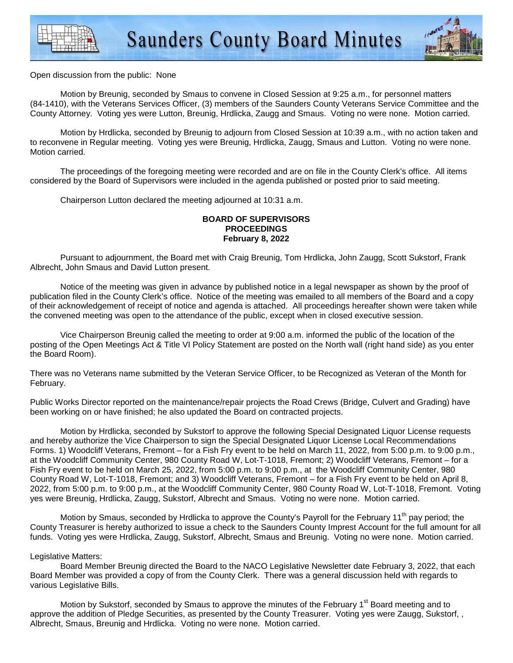

#### Open discussion from the public: None

 Motion by Breunig, seconded by Smaus to convene in Closed Session at 9:25 a.m., for personnel matters (84-1410), with the Veterans Services Officer, (3) members of the Saunders County Veterans Service Committee and the County Attorney. Voting yes were Lutton, Breunig, Hrdlicka, Zaugg and Smaus. Voting no were none. Motion carried.

 Motion by Hrdlicka, seconded by Breunig to adjourn from Closed Session at 10:39 a.m., with no action taken and to reconvene in Regular meeting. Voting yes were Breunig, Hrdlicka, Zaugg, Smaus and Lutton. Voting no were none. Motion carried.

 The proceedings of the foregoing meeting were recorded and are on file in the County Clerk's office. All items considered by the Board of Supervisors were included in the agenda published or posted prior to said meeting.

Chairperson Lutton declared the meeting adjourned at 10:31 a.m.

# **BOARD OF SUPERVISORS PROCEEDINGS February 8, 2022**

 Pursuant to adjournment, the Board met with Craig Breunig, Tom Hrdlicka, John Zaugg, Scott Sukstorf, Frank Albrecht, John Smaus and David Lutton present.

 Notice of the meeting was given in advance by published notice in a legal newspaper as shown by the proof of publication filed in the County Clerk's office. Notice of the meeting was emailed to all members of the Board and a copy of their acknowledgement of receipt of notice and agenda is attached. All proceedings hereafter shown were taken while the convened meeting was open to the attendance of the public, except when in closed executive session.

 Vice Chairperson Breunig called the meeting to order at 9:00 a.m. informed the public of the location of the posting of the Open Meetings Act & Title VI Policy Statement are posted on the North wall (right hand side) as you enter the Board Room).

There was no Veterans name submitted by the Veteran Service Officer, to be Recognized as Veteran of the Month for February.

Public Works Director reported on the maintenance/repair projects the Road Crews (Bridge, Culvert and Grading) have been working on or have finished; he also updated the Board on contracted projects.

 Motion by Hrdlicka, seconded by Sukstorf to approve the following Special Designated Liquor License requests and hereby authorize the Vice Chairperson to sign the Special Designated Liquor License Local Recommendations Forms. 1) Woodcliff Veterans, Fremont – for a Fish Fry event to be held on March 11, 2022, from 5:00 p.m. to 9:00 p.m., at the Woodcliff Community Center, 980 County Road W, Lot-T-1018, Fremont; 2) Woodcliff Veterans, Fremont – for a Fish Fry event to be held on March 25, 2022, from 5:00 p.m. to 9:00 p.m., at the Woodcliff Community Center, 980 County Road W, Lot-T-1018, Fremont; and 3) Woodcliff Veterans, Fremont – for a Fish Fry event to be held on April 8, 2022, from 5:00 p.m. to 9:00 p.m., at the Woodcliff Community Center, 980 County Road W, Lot-T-1018, Fremont. Voting yes were Breunig, Hrdlicka, Zaugg, Sukstorf, Albrecht and Smaus. Voting no were none. Motion carried.

Motion by Smaus, seconded by Hrdlicka to approve the County's Payroll for the February 11<sup>th</sup> pay period; the County Treasurer is hereby authorized to issue a check to the Saunders County Imprest Account for the full amount for all funds. Voting yes were Hrdlicka, Zaugg, Sukstorf, Albrecht, Smaus and Breunig. Voting no were none. Motion carried.

### Legislative Matters:

 Board Member Breunig directed the Board to the NACO Legislative Newsletter date February 3, 2022, that each Board Member was provided a copy of from the County Clerk. There was a general discussion held with regards to various Legislative Bills.

Motion by Sukstorf, seconded by Smaus to approve the minutes of the February 1<sup>st</sup> Board meeting and to approve the addition of Pledge Securities, as presented by the County Treasurer. Voting yes were Zaugg, Sukstorf, , Albrecht, Smaus, Breunig and Hrdlicka. Voting no were none. Motion carried.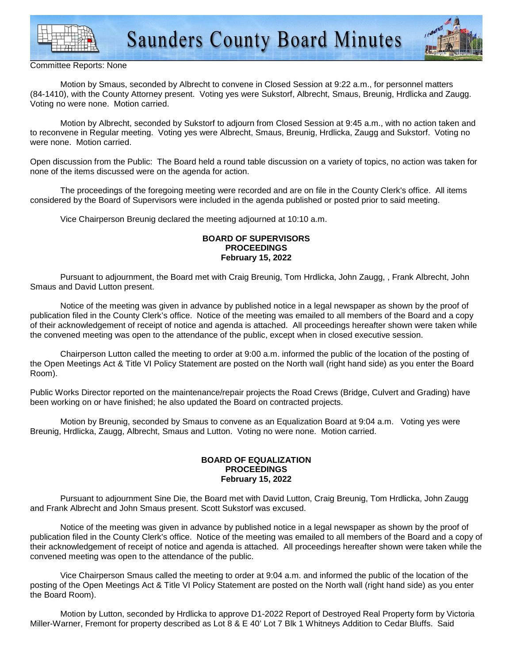



Committee Reports: None

 Motion by Smaus, seconded by Albrecht to convene in Closed Session at 9:22 a.m., for personnel matters (84-1410), with the County Attorney present. Voting yes were Sukstorf, Albrecht, Smaus, Breunig, Hrdlicka and Zaugg. Voting no were none. Motion carried.

 Motion by Albrecht, seconded by Sukstorf to adjourn from Closed Session at 9:45 a.m., with no action taken and to reconvene in Regular meeting. Voting yes were Albrecht, Smaus, Breunig, Hrdlicka, Zaugg and Sukstorf. Voting no were none. Motion carried.

Open discussion from the Public: The Board held a round table discussion on a variety of topics, no action was taken for none of the items discussed were on the agenda for action.

 The proceedings of the foregoing meeting were recorded and are on file in the County Clerk's office. All items considered by the Board of Supervisors were included in the agenda published or posted prior to said meeting.

Vice Chairperson Breunig declared the meeting adjourned at 10:10 a.m.

### **BOARD OF SUPERVISORS PROCEEDINGS February 15, 2022**

 Pursuant to adjournment, the Board met with Craig Breunig, Tom Hrdlicka, John Zaugg, , Frank Albrecht, John Smaus and David Lutton present.

 Notice of the meeting was given in advance by published notice in a legal newspaper as shown by the proof of publication filed in the County Clerk's office. Notice of the meeting was emailed to all members of the Board and a copy of their acknowledgement of receipt of notice and agenda is attached. All proceedings hereafter shown were taken while the convened meeting was open to the attendance of the public, except when in closed executive session.

 Chairperson Lutton called the meeting to order at 9:00 a.m. informed the public of the location of the posting of the Open Meetings Act & Title VI Policy Statement are posted on the North wall (right hand side) as you enter the Board Room).

Public Works Director reported on the maintenance/repair projects the Road Crews (Bridge, Culvert and Grading) have been working on or have finished; he also updated the Board on contracted projects.

 Motion by Breunig, seconded by Smaus to convene as an Equalization Board at 9:04 a.m. Voting yes were Breunig, Hrdlicka, Zaugg, Albrecht, Smaus and Lutton. Voting no were none. Motion carried.

## **BOARD OF EQUALIZATION PROCEEDINGS February 15, 2022**

 Pursuant to adjournment Sine Die, the Board met with David Lutton, Craig Breunig, Tom Hrdlicka, John Zaugg and Frank Albrecht and John Smaus present. Scott Sukstorf was excused.

 Notice of the meeting was given in advance by published notice in a legal newspaper as shown by the proof of publication filed in the County Clerk's office. Notice of the meeting was emailed to all members of the Board and a copy of their acknowledgement of receipt of notice and agenda is attached. All proceedings hereafter shown were taken while the convened meeting was open to the attendance of the public.

 Vice Chairperson Smaus called the meeting to order at 9:04 a.m. and informed the public of the location of the posting of the Open Meetings Act & Title VI Policy Statement are posted on the North wall (right hand side) as you enter the Board Room).

 Motion by Lutton, seconded by Hrdlicka to approve D1-2022 Report of Destroyed Real Property form by Victoria Miller-Warner, Fremont for property described as Lot 8 & E 40' Lot 7 Blk 1 Whitneys Addition to Cedar Bluffs. Said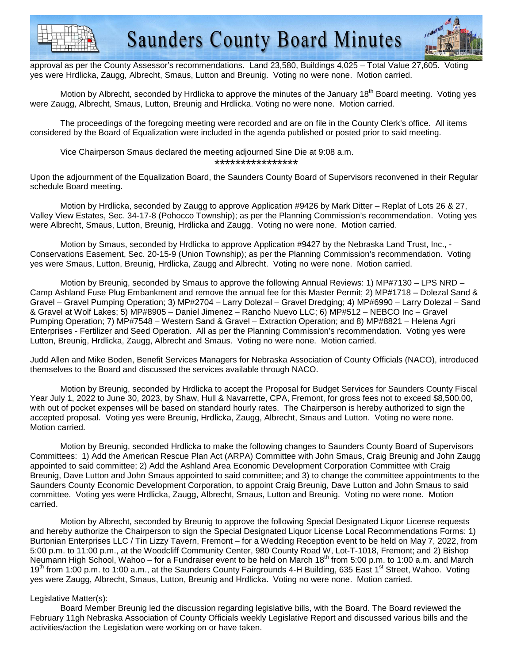



approval as per the County Assessor's recommendations. Land 23,580, Buildings 4,025 – Total Value 27,605. Voting yes were Hrdlicka, Zaugg, Albrecht, Smaus, Lutton and Breunig. Voting no were none. Motion carried.

Motion by Albrecht, seconded by Hrdlicka to approve the minutes of the January 18<sup>th</sup> Board meeting. Voting yes were Zaugg, Albrecht, Smaus, Lutton, Breunig and Hrdlicka. Voting no were none. Motion carried.

 The proceedings of the foregoing meeting were recorded and are on file in the County Clerk's office. All items considered by the Board of Equalization were included in the agenda published or posted prior to said meeting.

 Vice Chairperson Smaus declared the meeting adjourned Sine Die at 9:08 a.m. \*\*\*\*\*\*\*\*\*\*\*\*\*\*\*\*

Upon the adjournment of the Equalization Board, the Saunders County Board of Supervisors reconvened in their Regular schedule Board meeting.

Motion by Hrdlicka, seconded by Zaugg to approve Application #9426 by Mark Ditter – Replat of Lots 26 & 27, Valley View Estates, Sec. 34-17-8 (Pohocco Township); as per the Planning Commission's recommendation. Voting yes were Albrecht, Smaus, Lutton, Breunig, Hrdlicka and Zaugg. Voting no were none. Motion carried.

Motion by Smaus, seconded by Hrdlicka to approve Application #9427 by the Nebraska Land Trust, Inc., - Conservations Easement, Sec. 20-15-9 (Union Township); as per the Planning Commission's recommendation. Voting yes were Smaus, Lutton, Breunig, Hrdlicka, Zaugg and Albrecht. Voting no were none. Motion carried.

Motion by Breunig, seconded by Smaus to approve the following Annual Reviews: 1) MP#7130 – LPS NRD – Camp Ashland Fuse Plug Embankment and remove the annual fee for this Master Permit; 2) MP#1718 – Dolezal Sand & Gravel – Gravel Pumping Operation; 3) MP#2704 – Larry Dolezal – Gravel Dredging; 4) MP#6990 – Larry Dolezal – Sand & Gravel at Wolf Lakes; 5) MP#8905 – Daniel Jimenez – Rancho Nuevo LLC; 6) MP#512 – NEBCO Inc – Gravel Pumping Operation; 7) MP#7548 – Western Sand & Gravel – Extraction Operation; and 8) MP#8821 – Helena Agri Enterprises - Fertilizer and Seed Operation. All as per the Planning Commission's recommendation. Voting yes were Lutton, Breunig, Hrdlicka, Zaugg, Albrecht and Smaus. Voting no were none. Motion carried.

Judd Allen and Mike Boden, Benefit Services Managers for Nebraska Association of County Officials (NACO), introduced themselves to the Board and discussed the services available through NACO.

Motion by Breunig, seconded by Hrdlicka to accept the Proposal for Budget Services for Saunders County Fiscal Year July 1, 2022 to June 30, 2023, by Shaw, Hull & Navarrette, CPA, Fremont, for gross fees not to exceed \$8,500.00, with out of pocket expenses will be based on standard hourly rates. The Chairperson is hereby authorized to sign the accepted proposal. Voting yes were Breunig, Hrdlicka, Zaugg, Albrecht, Smaus and Lutton. Voting no were none. Motion carried.

Motion by Breunig, seconded Hrdlicka to make the following changes to Saunders County Board of Supervisors Committees: 1) Add the American Rescue Plan Act (ARPA) Committee with John Smaus, Craig Breunig and John Zaugg appointed to said committee; 2) Add the Ashland Area Economic Development Corporation Committee with Craig Breunig, Dave Lutton and John Smaus appointed to said committee; and 3) to change the committee appointments to the Saunders County Economic Development Corporation, to appoint Craig Breunig, Dave Lutton and John Smaus to said committee. Voting yes were Hrdlicka, Zaugg, Albrecht, Smaus, Lutton and Breunig. Voting no were none. Motion carried.

Motion by Albrecht, seconded by Breunig to approve the following Special Designated Liquor License requests and hereby authorize the Chairperson to sign the Special Designated Liquor License Local Recommendations Forms: 1) Burtonian Enterprises LLC / Tin Lizzy Tavern, Fremont – for a Wedding Reception event to be held on May 7, 2022, from 5:00 p.m. to 11:00 p.m., at the Woodcliff Community Center, 980 County Road W, Lot-T-1018, Fremont; and 2) Bishop Neumann High School, Wahoo – for a Fundraiser event to be held on March  $18^{th}$  from 5:00 p.m. to 1:00 a.m. and March 19<sup>th</sup> from 1:00 p.m. to 1:00 a.m., at the Saunders County Fairgrounds 4-H Building, 635 East 1<sup>st</sup> Street, Wahoo. Voting yes were Zaugg, Albrecht, Smaus, Lutton, Breunig and Hrdlicka. Voting no were none. Motion carried.

### Legislative Matter(s):

 Board Member Breunig led the discussion regarding legislative bills, with the Board. The Board reviewed the February 11gh Nebraska Association of County Officials weekly Legislative Report and discussed various bills and the activities/action the Legislation were working on or have taken.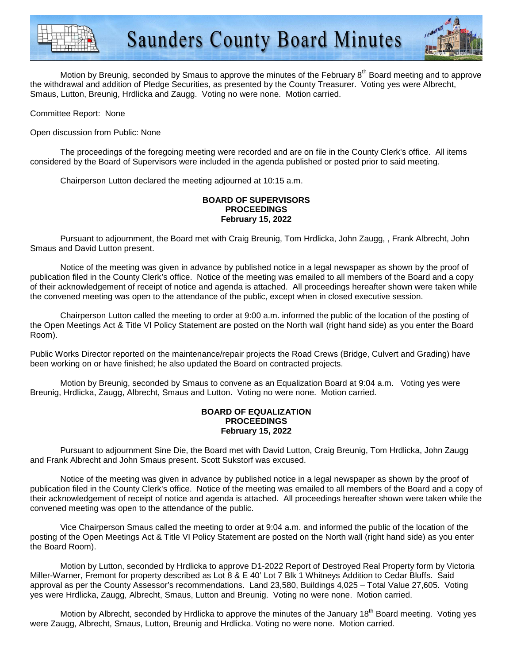



Motion by Breunig, seconded by Smaus to approve the minutes of the February 8<sup>th</sup> Board meeting and to approve the withdrawal and addition of Pledge Securities, as presented by the County Treasurer. Voting yes were Albrecht, Smaus, Lutton, Breunig, Hrdlicka and Zaugg. Voting no were none. Motion carried.

Committee Report: None

Open discussion from Public: None

 The proceedings of the foregoing meeting were recorded and are on file in the County Clerk's office. All items considered by the Board of Supervisors were included in the agenda published or posted prior to said meeting.

Chairperson Lutton declared the meeting adjourned at 10:15 a.m.

## **BOARD OF SUPERVISORS PROCEEDINGS February 15, 2022**

 Pursuant to adjournment, the Board met with Craig Breunig, Tom Hrdlicka, John Zaugg, , Frank Albrecht, John Smaus and David Lutton present.

 Notice of the meeting was given in advance by published notice in a legal newspaper as shown by the proof of publication filed in the County Clerk's office. Notice of the meeting was emailed to all members of the Board and a copy of their acknowledgement of receipt of notice and agenda is attached. All proceedings hereafter shown were taken while the convened meeting was open to the attendance of the public, except when in closed executive session.

 Chairperson Lutton called the meeting to order at 9:00 a.m. informed the public of the location of the posting of the Open Meetings Act & Title VI Policy Statement are posted on the North wall (right hand side) as you enter the Board Room).

Public Works Director reported on the maintenance/repair projects the Road Crews (Bridge, Culvert and Grading) have been working on or have finished; he also updated the Board on contracted projects.

 Motion by Breunig, seconded by Smaus to convene as an Equalization Board at 9:04 a.m. Voting yes were Breunig, Hrdlicka, Zaugg, Albrecht, Smaus and Lutton. Voting no were none. Motion carried.

### **BOARD OF EQUALIZATION PROCEEDINGS February 15, 2022**

 Pursuant to adjournment Sine Die, the Board met with David Lutton, Craig Breunig, Tom Hrdlicka, John Zaugg and Frank Albrecht and John Smaus present. Scott Sukstorf was excused.

 Notice of the meeting was given in advance by published notice in a legal newspaper as shown by the proof of publication filed in the County Clerk's office. Notice of the meeting was emailed to all members of the Board and a copy of their acknowledgement of receipt of notice and agenda is attached. All proceedings hereafter shown were taken while the convened meeting was open to the attendance of the public.

 Vice Chairperson Smaus called the meeting to order at 9:04 a.m. and informed the public of the location of the posting of the Open Meetings Act & Title VI Policy Statement are posted on the North wall (right hand side) as you enter the Board Room).

 Motion by Lutton, seconded by Hrdlicka to approve D1-2022 Report of Destroyed Real Property form by Victoria Miller-Warner, Fremont for property described as Lot 8 & E 40' Lot 7 Blk 1 Whitneys Addition to Cedar Bluffs. Said approval as per the County Assessor's recommendations. Land 23,580, Buildings 4,025 – Total Value 27,605. Voting yes were Hrdlicka, Zaugg, Albrecht, Smaus, Lutton and Breunig. Voting no were none. Motion carried.

Motion by Albrecht, seconded by Hrdlicka to approve the minutes of the January 18<sup>th</sup> Board meeting. Voting yes were Zaugg, Albrecht, Smaus, Lutton, Breunig and Hrdlicka. Voting no were none. Motion carried.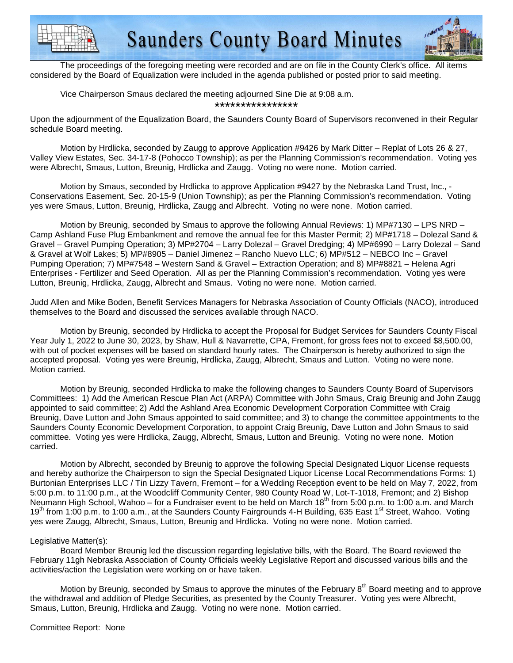



 The proceedings of the foregoing meeting were recorded and are on file in the County Clerk's office. All items considered by the Board of Equalization were included in the agenda published or posted prior to said meeting.

 Vice Chairperson Smaus declared the meeting adjourned Sine Die at 9:08 a.m. \*\*\*\*\*\*\*\*\*\*\*\*\*\*\*\*

Upon the adjournment of the Equalization Board, the Saunders County Board of Supervisors reconvened in their Regular schedule Board meeting.

Motion by Hrdlicka, seconded by Zaugg to approve Application #9426 by Mark Ditter – Replat of Lots 26 & 27, Valley View Estates, Sec. 34-17-8 (Pohocco Township); as per the Planning Commission's recommendation. Voting yes were Albrecht, Smaus, Lutton, Breunig, Hrdlicka and Zaugg. Voting no were none. Motion carried.

Motion by Smaus, seconded by Hrdlicka to approve Application #9427 by the Nebraska Land Trust, Inc., - Conservations Easement, Sec. 20-15-9 (Union Township); as per the Planning Commission's recommendation. Voting yes were Smaus, Lutton, Breunig, Hrdlicka, Zaugg and Albrecht. Voting no were none. Motion carried.

Motion by Breunig, seconded by Smaus to approve the following Annual Reviews: 1) MP#7130 – LPS NRD – Camp Ashland Fuse Plug Embankment and remove the annual fee for this Master Permit; 2) MP#1718 – Dolezal Sand & Gravel – Gravel Pumping Operation; 3) MP#2704 – Larry Dolezal – Gravel Dredging; 4) MP#6990 – Larry Dolezal – Sand & Gravel at Wolf Lakes; 5) MP#8905 – Daniel Jimenez – Rancho Nuevo LLC; 6) MP#512 – NEBCO Inc – Gravel Pumping Operation; 7) MP#7548 – Western Sand & Gravel – Extraction Operation; and 8) MP#8821 – Helena Agri Enterprises - Fertilizer and Seed Operation. All as per the Planning Commission's recommendation. Voting yes were Lutton, Breunig, Hrdlicka, Zaugg, Albrecht and Smaus. Voting no were none. Motion carried.

Judd Allen and Mike Boden, Benefit Services Managers for Nebraska Association of County Officials (NACO), introduced themselves to the Board and discussed the services available through NACO.

Motion by Breunig, seconded by Hrdlicka to accept the Proposal for Budget Services for Saunders County Fiscal Year July 1, 2022 to June 30, 2023, by Shaw, Hull & Navarrette, CPA, Fremont, for gross fees not to exceed \$8,500.00, with out of pocket expenses will be based on standard hourly rates. The Chairperson is hereby authorized to sign the accepted proposal. Voting yes were Breunig, Hrdlicka, Zaugg, Albrecht, Smaus and Lutton. Voting no were none. Motion carried.

Motion by Breunig, seconded Hrdlicka to make the following changes to Saunders County Board of Supervisors Committees: 1) Add the American Rescue Plan Act (ARPA) Committee with John Smaus, Craig Breunig and John Zaugg appointed to said committee; 2) Add the Ashland Area Economic Development Corporation Committee with Craig Breunig, Dave Lutton and John Smaus appointed to said committee; and 3) to change the committee appointments to the Saunders County Economic Development Corporation, to appoint Craig Breunig, Dave Lutton and John Smaus to said committee. Voting yes were Hrdlicka, Zaugg, Albrecht, Smaus, Lutton and Breunig. Voting no were none. Motion carried.

Motion by Albrecht, seconded by Breunig to approve the following Special Designated Liquor License requests and hereby authorize the Chairperson to sign the Special Designated Liquor License Local Recommendations Forms: 1) Burtonian Enterprises LLC / Tin Lizzy Tavern, Fremont – for a Wedding Reception event to be held on May 7, 2022, from 5:00 p.m. to 11:00 p.m., at the Woodcliff Community Center, 980 County Road W, Lot-T-1018, Fremont; and 2) Bishop Neumann High School, Wahoo – for a Fundraiser event to be held on March 18<sup>th</sup> from 5:00 p.m. to 1:00 a.m. and March 19<sup>th</sup> from 1:00 p.m. to 1:00 a.m., at the Saunders County Fairgrounds 4-H Building, 635 East 1<sup>st</sup> Street, Wahoo. Voting yes were Zaugg, Albrecht, Smaus, Lutton, Breunig and Hrdlicka. Voting no were none. Motion carried.

# Legislative Matter(s):

 Board Member Breunig led the discussion regarding legislative bills, with the Board. The Board reviewed the February 11gh Nebraska Association of County Officials weekly Legislative Report and discussed various bills and the activities/action the Legislation were working on or have taken.

Motion by Breunig, seconded by Smaus to approve the minutes of the February 8<sup>th</sup> Board meeting and to approve the withdrawal and addition of Pledge Securities, as presented by the County Treasurer. Voting yes were Albrecht, Smaus, Lutton, Breunig, Hrdlicka and Zaugg. Voting no were none. Motion carried.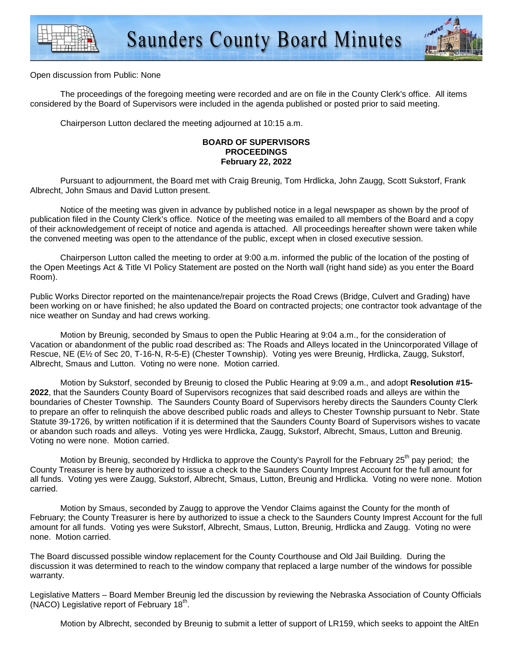



Open discussion from Public: None

 The proceedings of the foregoing meeting were recorded and are on file in the County Clerk's office. All items considered by the Board of Supervisors were included in the agenda published or posted prior to said meeting.

Chairperson Lutton declared the meeting adjourned at 10:15 a.m.

### **BOARD OF SUPERVISORS PROCEEDINGS February 22, 2022**

 Pursuant to adjournment, the Board met with Craig Breunig, Tom Hrdlicka, John Zaugg, Scott Sukstorf, Frank Albrecht, John Smaus and David Lutton present.

 Notice of the meeting was given in advance by published notice in a legal newspaper as shown by the proof of publication filed in the County Clerk's office. Notice of the meeting was emailed to all members of the Board and a copy of their acknowledgement of receipt of notice and agenda is attached. All proceedings hereafter shown were taken while the convened meeting was open to the attendance of the public, except when in closed executive session.

 Chairperson Lutton called the meeting to order at 9:00 a.m. informed the public of the location of the posting of the Open Meetings Act & Title VI Policy Statement are posted on the North wall (right hand side) as you enter the Board Room).

Public Works Director reported on the maintenance/repair projects the Road Crews (Bridge, Culvert and Grading) have been working on or have finished; he also updated the Board on contracted projects; one contractor took advantage of the nice weather on Sunday and had crews working.

Motion by Breunig, seconded by Smaus to open the Public Hearing at 9:04 a.m., for the consideration of Vacation or abandonment of the public road described as: The Roads and Alleys located in the Unincorporated Village of Rescue, NE (E½ of Sec 20, T-16-N, R-5-E) (Chester Township). Voting yes were Breunig, Hrdlicka, Zaugg, Sukstorf, Albrecht, Smaus and Lutton. Voting no were none. Motion carried.

Motion by Sukstorf, seconded by Breunig to closed the Public Hearing at 9:09 a.m., and adopt **Resolution #15- 2022**, that the Saunders County Board of Supervisors recognizes that said described roads and alleys are within the boundaries of Chester Township. The Saunders County Board of Supervisors hereby directs the Saunders County Clerk to prepare an offer to relinquish the above described public roads and alleys to Chester Township pursuant to Nebr. State Statute 39-1726, by written notification if it is determined that the Saunders County Board of Supervisors wishes to vacate or abandon such roads and alleys. Voting yes were Hrdlicka, Zaugg, Sukstorf, Albrecht, Smaus, Lutton and Breunig. Voting no were none. Motion carried.

Motion by Breunig, seconded by Hrdlicka to approve the County's Payroll for the February 25<sup>th</sup> pay period; the County Treasurer is here by authorized to issue a check to the Saunders County Imprest Account for the full amount for all funds. Voting yes were Zaugg, Sukstorf, Albrecht, Smaus, Lutton, Breunig and Hrdlicka. Voting no were none. Motion carried.

Motion by Smaus, seconded by Zaugg to approve the Vendor Claims against the County for the month of February; the County Treasurer is here by authorized to issue a check to the Saunders County Imprest Account for the full amount for all funds. Voting yes were Sukstorf, Albrecht, Smaus, Lutton, Breunig, Hrdlicka and Zaugg. Voting no were none. Motion carried.

The Board discussed possible window replacement for the County Courthouse and Old Jail Building. During the discussion it was determined to reach to the window company that replaced a large number of the windows for possible warranty.

Legislative Matters – Board Member Breunig led the discussion by reviewing the Nebraska Association of County Officials (NACO) Legislative report of February  $18<sup>th</sup>$ .

Motion by Albrecht, seconded by Breunig to submit a letter of support of LR159, which seeks to appoint the AltEn